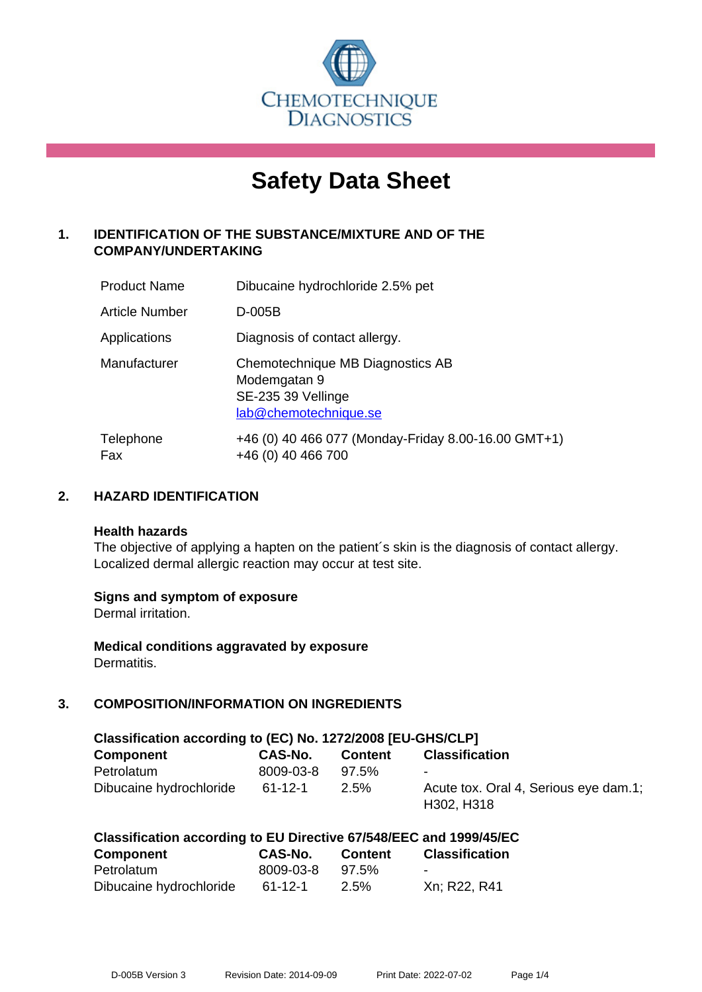

# **Safety Data Sheet**

# **1. IDENTIFICATION OF THE SUBSTANCE/MIXTURE AND OF THE COMPANY/UNDERTAKING**

| <b>Product Name</b> | Dibucaine hydrochloride 2.5% pet                                                                |
|---------------------|-------------------------------------------------------------------------------------------------|
| Article Number      | D-005B                                                                                          |
| Applications        | Diagnosis of contact allergy.                                                                   |
| Manufacturer        | Chemotechnique MB Diagnostics AB<br>Modemgatan 9<br>SE-235 39 Vellinge<br>lab@chemotechnique.se |
| Telephone<br>Fax    | +46 (0) 40 466 077 (Monday-Friday 8.00-16.00 GMT+1)<br>+46 (0) 40 466 700                       |

## **2. HAZARD IDENTIFICATION**

#### **Health hazards**

The objective of applying a hapten on the patient's skin is the diagnosis of contact allergy. Localized dermal allergic reaction may occur at test site.

## **Signs and symptom of exposure**

Dermal irritation.

**Medical conditions aggravated by exposure** Dermatitis.

# **3. COMPOSITION/INFORMATION ON INGREDIENTS**

| Classification according to (EC) No. 1272/2008 [EU-GHS/CLP] |           |          |                                                     |
|-------------------------------------------------------------|-----------|----------|-----------------------------------------------------|
| Component                                                   | CAS-No.   | Content  | <b>Classification</b>                               |
| Petrolatum                                                  | 8009-03-8 | $97.5\%$ |                                                     |
| Dibucaine hydrochloride                                     | 61-12-1   | $2.5\%$  | Acute tox. Oral 4, Serious eye dam.1;<br>H302, H318 |

| Classification according to EU Directive 67/548/EEC and 1999/45/EC |  |  |  |
|--------------------------------------------------------------------|--|--|--|
|--------------------------------------------------------------------|--|--|--|

| Component               | CAS-No.       | <b>Content</b> | <b>Classification</b> |
|-------------------------|---------------|----------------|-----------------------|
| Petrolatum              | 8009-03-8     | 97.5%          | $\sim$                |
| Dibucaine hydrochloride | $61 - 12 - 1$ | 2.5%           | Xn; R22, R41          |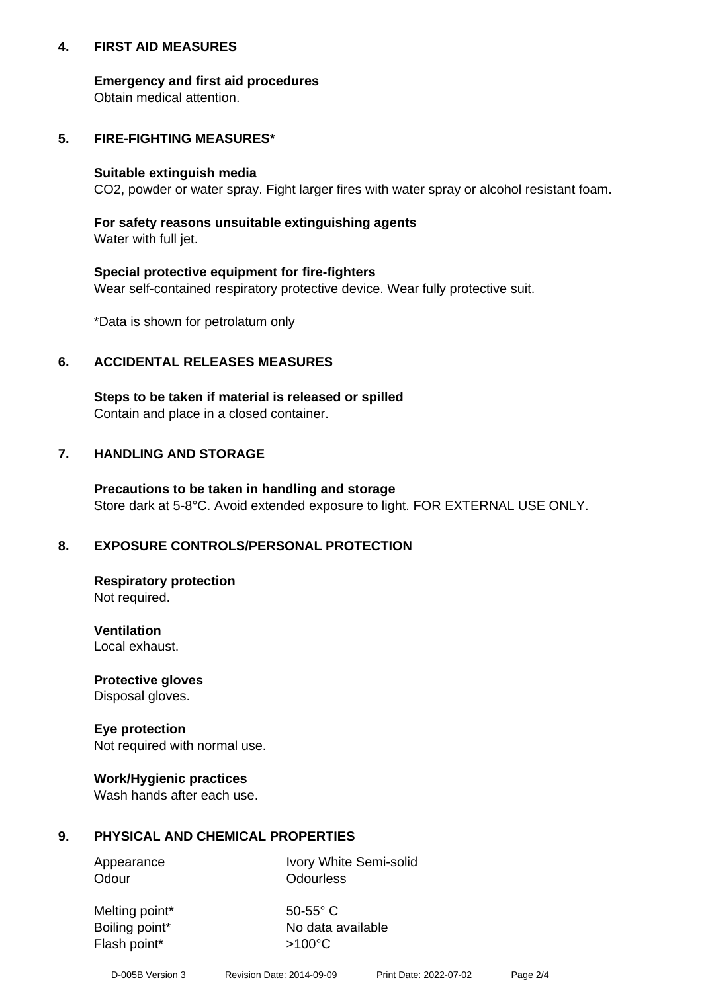## **4. FIRST AID MEASURES**

## **Emergency and first aid procedures**

Obtain medical attention.

# **5. FIRE-FIGHTING MEASURES\***

#### **Suitable extinguish media**

CO2, powder or water spray. Fight larger fires with water spray or alcohol resistant foam.

# **For safety reasons unsuitable extinguishing agents**

Water with full jet.

## **Special protective equipment for fire-fighters**

Wear self-contained respiratory protective device. Wear fully protective suit.

\*Data is shown for petrolatum only

## **6. ACCIDENTAL RELEASES MEASURES**

**Steps to be taken if material is released or spilled** Contain and place in a closed container.

# **7. HANDLING AND STORAGE**

**Precautions to be taken in handling and storage** Store dark at 5-8°C. Avoid extended exposure to light. FOR EXTERNAL USE ONLY.

# **8. EXPOSURE CONTROLS/PERSONAL PROTECTION**

**Respiratory protection** Not required.

**Ventilation** Local exhaust.

**Protective gloves** Disposal gloves.

#### **Eye protection** Not required with normal use.

## **Work/Hygienic practices**

Wash hands after each use.

## **9. PHYSICAL AND CHEMICAL PROPERTIES**

Odour **Odourless** 

Appearance Ivory White Semi-solid

Melting point\* 50-55° C Flash point\*  $>100^{\circ}$ C

Boiling point\* No data available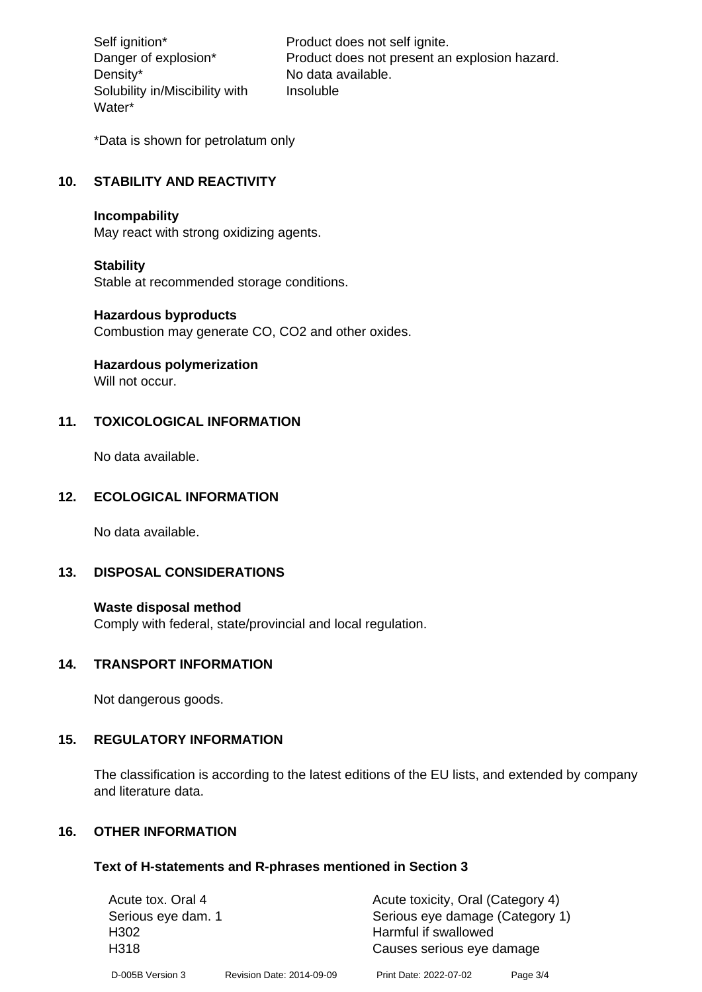Density\* No data available. Solubility in/Miscibility with Water\*

Self ignition\* Product does not self ignite. Danger of explosion\* Product does not present an explosion hazard. Insoluble

\*Data is shown for petrolatum only

# **10. STABILITY AND REACTIVITY**

#### **Incompability**

May react with strong oxidizing agents.

#### **Stability**

Stable at recommended storage conditions.

#### **Hazardous byproducts**

Combustion may generate CO, CO2 and other oxides.

**Hazardous polymerization**

Will not occur.

## **11. TOXICOLOGICAL INFORMATION**

No data available.

## **12. ECOLOGICAL INFORMATION**

No data available.

## **13. DISPOSAL CONSIDERATIONS**

#### **Waste disposal method**

Comply with federal, state/provincial and local regulation.

#### **14. TRANSPORT INFORMATION**

Not dangerous goods.

## **15. REGULATORY INFORMATION**

The classification is according to the latest editions of the EU lists, and extended by company and literature data.

#### **16. OTHER INFORMATION**

#### **Text of H-statements and R-phrases mentioned in Section 3**

| Acute tox. Oral 4  |                           | Acute toxicity, Oral (Category 4) |          |
|--------------------|---------------------------|-----------------------------------|----------|
| Serious eye dam. 1 |                           | Serious eye damage (Category 1)   |          |
| H302               |                           | Harmful if swallowed              |          |
| H318               |                           | Causes serious eye damage         |          |
| D-005B Version 3   | Revision Date: 2014-09-09 | Print Date: 2022-07-02            | Page 3/4 |